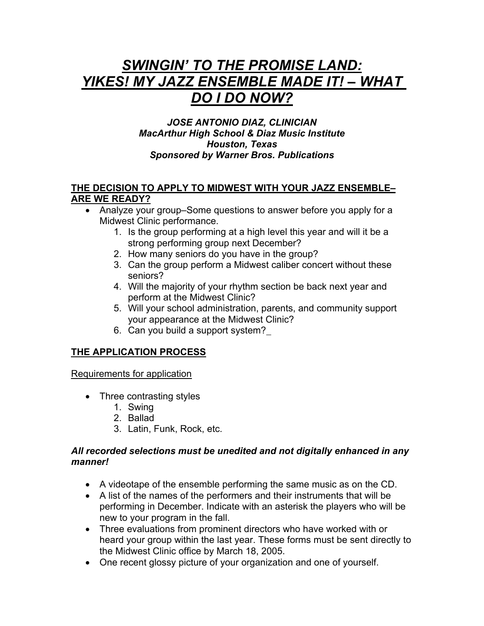# *SWINGIN' TO THE PROMISE LAND: YIKES! MY JAZZ ENSEMBLE MADE IT! – WHAT DO I DO NOW?*

### *JOSE ANTONIO DIAZ, CLINICIAN MacArthur High School & Diaz Music Institute Houston, Texas Sponsored by Warner Bros. Publications*

#### **THE DECISION TO APPLY TO MIDWEST WITH YOUR JAZZ ENSEMBLE– ARE WE READY?**

- Analyze your group–Some questions to answer before you apply for a Midwest Clinic performance.
	- 1. Is the group performing at a high level this year and will it be a strong performing group next December?
	- 2. How many seniors do you have in the group?
	- 3. Can the group perform a Midwest caliber concert without these seniors?
	- 4. Will the majority of your rhythm section be back next year and perform at the Midwest Clinic?
	- 5. Will your school administration, parents, and community support your appearance at the Midwest Clinic?
	- 6. Can you build a support system?

## **THE APPLICATION PROCESS**

Requirements for application

- Three contrasting styles
	- 1. Swing
	- 2. Ballad
	- 3. Latin, Funk, Rock, etc.

#### *All recorded selections must be unedited and not digitally enhanced in any manner!*

- A videotape of the ensemble performing the same music as on the CD.
- A list of the names of the performers and their instruments that will be performing in December. Indicate with an asterisk the players who will be new to your program in the fall.
- Three evaluations from prominent directors who have worked with or heard your group within the last year. These forms must be sent directly to the Midwest Clinic office by March 18, 2005.
- One recent glossy picture of your organization and one of yourself.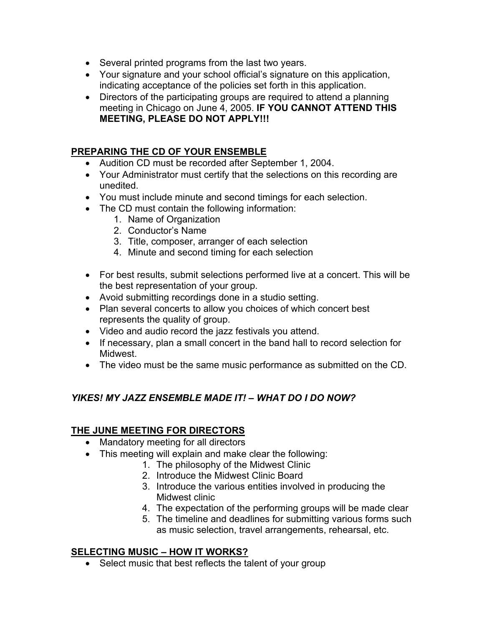- Several printed programs from the last two years.
- Your signature and your school official's signature on this application, indicating acceptance of the policies set forth in this application.
- Directors of the participating groups are required to attend a planning meeting in Chicago on June 4, 2005. **IF YOU CANNOT ATTEND THIS MEETING, PLEASE DO NOT APPLY!!!**

### **PREPARING THE CD OF YOUR ENSEMBLE**

- Audition CD must be recorded after September 1, 2004.
- Your Administrator must certify that the selections on this recording are unedited.
- You must include minute and second timings for each selection.
- The CD must contain the following information:
	- 1. Name of Organization
	- 2. Conductor's Name
	- 3. Title, composer, arranger of each selection
	- 4. Minute and second timing for each selection
- For best results, submit selections performed live at a concert. This will be the best representation of your group.
- Avoid submitting recordings done in a studio setting.
- Plan several concerts to allow you choices of which concert best represents the quality of group.
- Video and audio record the jazz festivals you attend.
- If necessary, plan a small concert in the band hall to record selection for Midwest.
- The video must be the same music performance as submitted on the CD.

## *YIKES! MY JAZZ ENSEMBLE MADE IT! – WHAT DO I DO NOW?*

### **THE JUNE MEETING FOR DIRECTORS**

- Mandatory meeting for all directors
- This meeting will explain and make clear the following:
	- 1. The philosophy of the Midwest Clinic
		- 2. Introduce the Midwest Clinic Board
		- 3. Introduce the various entities involved in producing the Midwest clinic
		- 4. The expectation of the performing groups will be made clear
		- 5. The timeline and deadlines for submitting various forms such as music selection, travel arrangements, rehearsal, etc.

### **SELECTING MUSIC – HOW IT WORKS?**

• Select music that best reflects the talent of your group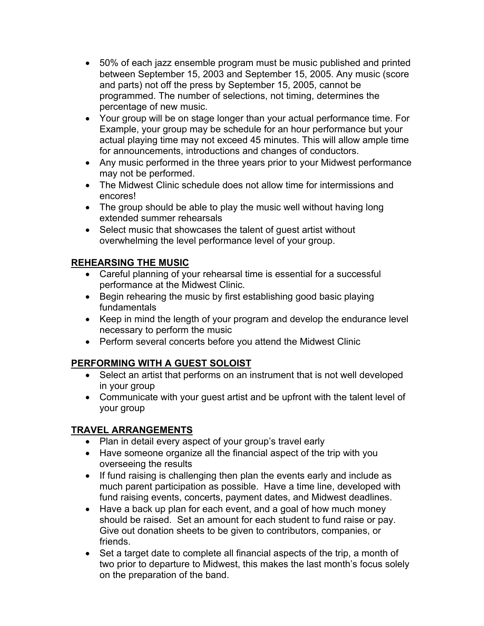- 50% of each jazz ensemble program must be music published and printed between September 15, 2003 and September 15, 2005. Any music (score and parts) not off the press by September 15, 2005, cannot be programmed. The number of selections, not timing, determines the percentage of new music.
- Your group will be on stage longer than your actual performance time. For Example, your group may be schedule for an hour performance but your actual playing time may not exceed 45 minutes. This will allow ample time for announcements, introductions and changes of conductors.
- Any music performed in the three years prior to your Midwest performance may not be performed.
- The Midwest Clinic schedule does not allow time for intermissions and encores!
- The group should be able to play the music well without having long extended summer rehearsals
- Select music that showcases the talent of guest artist without overwhelming the level performance level of your group.

## **REHEARSING THE MUSIC**

- Careful planning of your rehearsal time is essential for a successful performance at the Midwest Clinic.
- Begin rehearing the music by first establishing good basic playing fundamentals
- Keep in mind the length of your program and develop the endurance level necessary to perform the music
- Perform several concerts before you attend the Midwest Clinic

## **PERFORMING WITH A GUEST SOLOIST**

- Select an artist that performs on an instrument that is not well developed in your group
- Communicate with your guest artist and be upfront with the talent level of your group

## **TRAVEL ARRANGEMENTS**

- Plan in detail every aspect of your group's travel early
- Have someone organize all the financial aspect of the trip with you overseeing the results
- If fund raising is challenging then plan the events early and include as much parent participation as possible. Have a time line, developed with fund raising events, concerts, payment dates, and Midwest deadlines.
- Have a back up plan for each event, and a goal of how much money should be raised. Set an amount for each student to fund raise or pay. Give out donation sheets to be given to contributors, companies, or friends.
- Set a target date to complete all financial aspects of the trip, a month of two prior to departure to Midwest, this makes the last month's focus solely on the preparation of the band.